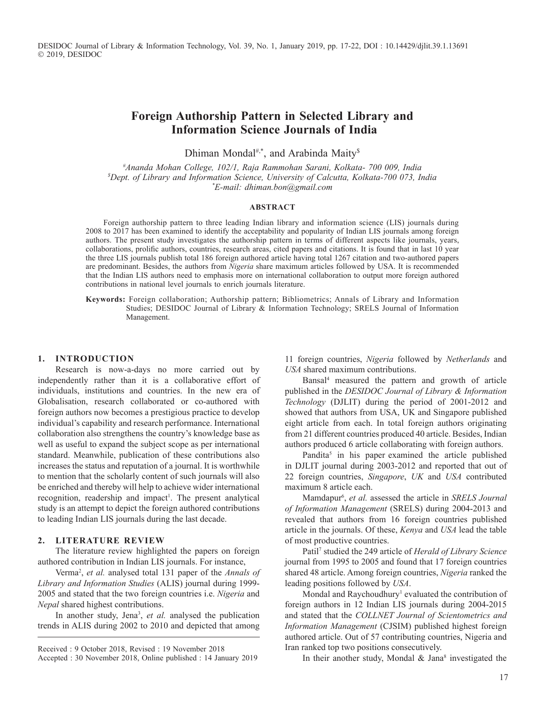DESIDOC Journal of Library & Information Technology, Vol. 39, No. 1, January 2019, pp. 17-22, DOI : 10.14429/djlit.39.1.13691 2019, DESIDOC

# **Foreign Authorship Pattern in Selected Library and Information Science Journals of India**

Dhiman Mondal<sup>#,\*</sup>, and Arabinda Maity<sup>\$</sup>

*# Ananda Mohan College, 102/1, Raja Rammohan Sarani, Kolkata- 700 009, India \$ Dept. of Library and Information Science, University of Calcutta, Kolkata-700 073, India \* E-mail: dhiman.bon@gmail.com*

#### **Abstract**

Foreign authorship pattern to three leading Indian library and information science (LIS) journals during 2008 to 2017 has been examined to identify the acceptability and popularity of Indian LIS journals among foreign authors. The present study investigates the authorship pattern in terms of different aspects like journals, years, collaborations, prolific authors, countries, research areas, cited papers and citations. It is found that in last 10 year the three LIS journals publish total 186 foreign authored article having total 1267 citation and two-authored papers are predominant. Besides, the authors from *Nigeria* share maximum articles followed by USA. It is recommended that the Indian LIS authors need to emphasis more on international collaboration to output more foreign authored contributions in national level journals to enrich journals literature.

**Keywords:** Foreign collaboration; Authorship pattern; Bibliometrics; Annals of Library and Information Studies; DESIDOC Journal of Library & Information Technology; SRELS Journal of Information Management.

#### **1. Introduction**

Research is now-a-days no more carried out by independently rather than it is a collaborative effort of individuals, institutions and countries. In the new era of Globalisation, research collaborated or co-authored with foreign authors now becomes a prestigious practice to develop individual's capability and research performance. International collaboration also strengthens the country's knowledge base as well as useful to expand the subject scope as per international standard. Meanwhile, publication of these contributions also increases the status and reputation of a journal. It is worthwhile to mention that the scholarly content of such journals will also be enriched and thereby will help to achieve wider international recognition, readership and impact<sup>1</sup>. The present analytical study is an attempt to depict the foreign authored contributions to leading Indian LIS journals during the last decade.

#### **2. literature Review**

The literature review highlighted the papers on foreign authored contribution in Indian LIS journals. For instance,

Verma<sup>2</sup>, et al. analysed total 131 paper of the *Annals of Library and Information Studies* (ALIS) journal during 1999- 2005 and stated that the two foreign countries i.e. *Nigeria* and *Nepal* shared highest contributions.

In another study, Jena<sup>3</sup>, et al. analysed the publication trends in ALIS during 2002 to 2010 and depicted that among

11 foreign countries, *Nigeria* followed by *Netherlands* and *USA* shared maximum contributions.

Bansal4 measured the pattern and growth of article published in the *DESIDOC Journal of Library & Information Technology* (DJLIT) during the period of 2001-2012 and showed that authors from USA, UK and Singapore published eight article from each. In total foreign authors originating from 21 different countries produced 40 article. Besides, Indian authors produced 6 article collaborating with foreign authors.

Pandita<sup>5</sup> in his paper examined the article published in DJLIT journal during 2003-2012 and reported that out of 22 foreign countries, *Singapore*, *UK* and *USA* contributed maximum 8 article each.

Mamdapur<sup>6</sup>, *et al.* assessed the article in *SRELS Journal of Information Management* (SRELS) during 2004-2013 and revealed that authors from 16 foreign countries published article in the journals. Of these, *Kenya* and *USA* lead the table of most productive countries.

Patil7 studied the 249 article of *Herald of Library Science* journal from 1995 to 2005 and found that 17 foreign countries shared 48 article. Among foreign countries, *Nigeria* ranked the leading positions followed by *USA*.

Mondal and Raychoudhury<sup>1</sup> evaluated the contribution of foreign authors in 12 Indian LIS journals during 2004-2015 and stated that the *COLLNET Journal of Scientometrics and Information Management* (CJSIM) published highest foreign authored article. Out of 57 contributing countries, Nigeria and Iran ranked top two positions consecutively.

In their another study, Mondal  $& Jana<sup>8</sup>$  investigated the

Received : 9 October 2018, Revised : 19 November 2018 Accepted : 30 November 2018, Online published : 14 January 2019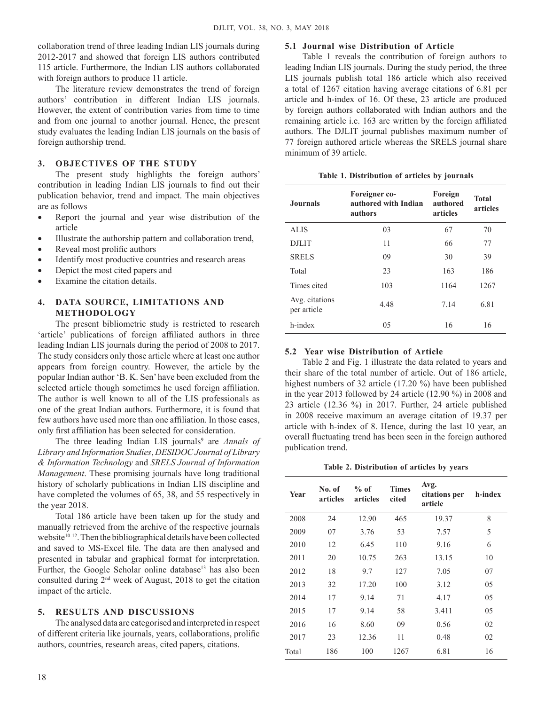collaboration trend of three leading Indian LIS journals during 2012-2017 and showed that foreign LIS authors contributed 115 article. Furthermore, the Indian LIS authors collaborated with foreign authors to produce 11 article.

The literature review demonstrates the trend of foreign authors' contribution in different Indian LIS journals. However, the extent of contribution varies from time to time and from one journal to another journal. Hence, the present study evaluates the leading Indian LIS journals on the basis of foreign authorship trend.

# **3. Objectives of the study**

The present study highlights the foreign authors' contribution in leading Indian LIS journals to find out their publication behavior, trend and impact. The main objectives are as follows

- Report the journal and year wise distribution of the article
- Illustrate the authorship pattern and collaboration trend,
- Reveal most prolific authors
- Identify most productive countries and research areas
- Depict the most cited papers and
- Examine the citation details.

# **4. Data source, limitations and methodology**

The present bibliometric study is restricted to research 'article' publications of foreign affiliated authors in three leading Indian LIS journals during the period of 2008 to 2017. The study considers only those article where at least one author appears from foreign country. However, the article by the popular Indian author 'B. K. Sen' have been excluded from the selected article though sometimes he used foreign affiliation. The author is well known to all of the LIS professionals as one of the great Indian authors. Furthermore, it is found that few authors have used more than one affiliation. In those cases, only first affiliation has been selected for consideration.

The three leading Indian LIS journals<sup>9</sup> are *Annals of Library and Information Studies*, *DESIDOC Journal of Library & Information Technology* and *SRELS Journal of Information Management*. These promising journals have long traditional history of scholarly publications in Indian LIS discipline and have completed the volumes of 65, 38, and 55 respectively in the year 2018.

Total 186 article have been taken up for the study and manually retrieved from the archive of the respective journals website<sup>10-12</sup>. Then the bibliographical details have been collected and saved to MS-Excel file. The data are then analysed and presented in tabular and graphical format for interpretation. Further, the Google Scholar online database<sup>13</sup> has also been consulted during 2nd week of August, 2018 to get the citation impact of the article.

### **5. Results and discussions**

The analysed data are categorised and interpreted in respect of different criteria like journals, years, collaborations, prolific authors, countries, research areas, cited papers, citations.

### **5.1 Journal wise Distribution of Article**

Table 1 reveals the contribution of foreign authors to leading Indian LIS journals. During the study period, the three LIS journals publish total 186 article which also received a total of 1267 citation having average citations of 6.81 per article and h-index of 16. Of these, 23 article are produced by foreign authors collaborated with Indian authors and the remaining article i.e. 163 are written by the foreign affiliated authors. The DJLIT journal publishes maximum number of 77 foreign authored article whereas the SRELS journal share minimum of 39 article.

| Table 1. Distribution of articles by journals |  |  |
|-----------------------------------------------|--|--|
|                                               |  |  |

| <b>Journals</b>               | Foreigner co-<br>authored with Indian<br>authors | Foreign<br>authored<br>articles | <b>Total</b><br>articles |
|-------------------------------|--------------------------------------------------|---------------------------------|--------------------------|
| <b>ALIS</b>                   | 03                                               | 67                              | 70                       |
| <b>DJLIT</b>                  | 11                                               | 66                              | 77                       |
| <b>SRELS</b>                  | 09                                               | 30                              | 39                       |
| Total                         | 23                                               | 163                             | 186                      |
| Times cited                   | 103                                              | 1164                            | 1267                     |
| Avg. citations<br>per article | 4.48                                             | 7.14                            | 6.81                     |
| h-index                       | 0.5                                              | 16                              | 16                       |

# **5.2 Year wise Distribution of Article**

Table 2 and Fig. 1 illustrate the data related to years and their share of the total number of article. Out of 186 article, highest numbers of 32 article (17.20 %) have been published in the year 2013 followed by 24 article (12.90 %) in 2008 and 23 article (12.36 %) in 2017. Further, 24 article published in 2008 receive maximum an average citation of 19.37 per article with h-index of 8. Hence, during the last 10 year, an overall fluctuating trend has been seen in the foreign authored publication trend.

**Table 2. Distribution of articles by years**

| Year  | No. of<br>articles | $%$ of<br>articles | <b>Times</b><br>cited | Avg.<br>citations per<br>article | h-index |
|-------|--------------------|--------------------|-----------------------|----------------------------------|---------|
| 2008  | 24                 | 12.90              | 465                   | 19.37                            | 8       |
| 2009  | 07                 | 3.76               | 53                    | 7.57                             | 5       |
| 2010  | 12                 | 6.45               | 110                   | 9.16                             | 6       |
| 2011  | 20                 | 10.75              | 263                   | 13.15                            | 10      |
| 2012  | 18                 | 9.7                | 127                   | 7.05                             | 07      |
| 2013  | 32                 | 17.20              | 100                   | 3.12                             | 05      |
| 2014  | 17                 | 9.14               | 71                    | 4.17                             | 05      |
| 2015  | 17                 | 9.14               | 58                    | 3.411                            | 05      |
| 2016  | 16                 | 8.60               | 09                    | 0.56                             | 02      |
| 2017  | 23                 | 12.36              | 11                    | 0.48                             | 02      |
| Total | 186                | 100                | 1267                  | 6.81                             | 16      |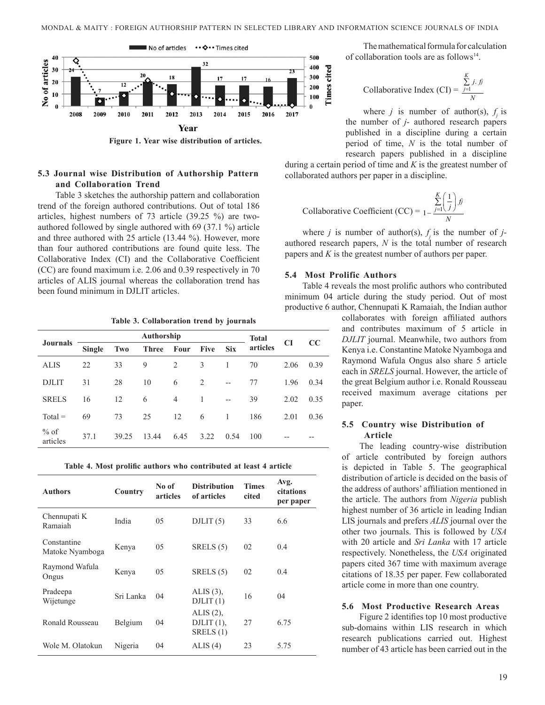

**Figure 1. Year wise distribution of articles.**

### **5.3 Journal wise Distribution of Authorship Pattern and Collaboration Trend**

Table 3 sketches the authorship pattern and collaboration trend of the foreign authored contributions. Out of total 186 articles, highest numbers of 73 article (39.25 %) are twoauthored followed by single authored with 69 (37.1 %) article and three authored with 25 article (13.44 %). However, more than four authored contributions are found quite less. The Collaborative Index (CI) and the Collaborative Coefficient (CC) are found maximum i.e. 2.06 and 0.39 respectively in 70 articles of ALIS journal whereas the collaboration trend has been found minimum in DJLIT articles.

**Table 3. Collaboration trend by journals**

|                    | Authorship    |       |              |      |             |                | <b>Total</b> |           |      |
|--------------------|---------------|-------|--------------|------|-------------|----------------|--------------|-----------|------|
| <b>Journals</b>    | <b>Single</b> | Two   | <b>Three</b> | Four | <b>Five</b> | <b>Six</b>     | articles     | <b>CI</b> | CC   |
| <b>ALIS</b>        | 22            | 33    | 9            | 2    | 3           | 1              | 70           | 2.06      | 0.39 |
| <b>DJLIT</b>       | 31            | 28    | 10           | 6    | 2           | $-$            | 77           | 1.96      | 0.34 |
| <b>SRELS</b>       | 16            | 12    | 6            | 4    | 1           | $-$            | 39           | 2.02      | 0.35 |
| $Total =$          | 69            | 73    | 25           | 12   | 6           | $\overline{1}$ | 186          | 2.01      | 0.36 |
| $%$ of<br>articles | 37.1          | 39.25 | 13.44        | 6.45 | 3.22        | 0.54           | 100          |           |      |

**Table 4. Most prolific authors who contributed at least 4 article**

| <b>Authors</b>                 | Country   | No of<br>articles | <b>Distribution</b><br>of articles           | <b>Times</b><br>cited | Avg.<br>citations<br>per paper |
|--------------------------------|-----------|-------------------|----------------------------------------------|-----------------------|--------------------------------|
| Chennupati K<br>Ramaiah        | India     | 05                | DILIT(5)                                     | 33                    | 6.6                            |
| Constantine<br>Matoke Nyamboga | Kenya     | 05                | SRELS $(5)$                                  | 02                    | 0.4                            |
| Raymond Wafula<br>Ongus        | Kenya     | 05                | SRELS $(5)$                                  | 02                    | 0.4                            |
| Pradeepa<br>Wijetunge          | Sri Lanka | 04                | ALIS $(3)$ ,<br>DILIT(1)                     | 16                    | 04                             |
| Ronald Rousseau                | Belgium   | 04                | ALIS $(2)$ ,<br>DJLIT $(1)$ ,<br>SRELS $(1)$ | 27                    | 6.75                           |
| Wole M. Olatokun               | Nigeria   | 04                | ALIS(4)                                      | 23                    | 5.75                           |

The mathematical formula for calculation of collaboration tools are as follows<sup>14</sup>.

Collaborative Index (CI) = 
$$
\frac{\sum_{j=1}^{K} j \cdot f_j}{N}
$$

where *j* is number of author(s),  $f_j$  is the number of *j-* authored research papers published in a discipline during a certain period of time, *N* is the total number of research papers published in a discipline

during a certain period of time and *K* is the greatest number of collaborated authors per paper in a discipline.

Collaborative Coefficient (CC) = 
$$
\sum_{1-\frac{j=1}{N}}^{K} \left(\frac{1}{j}\right) f_j
$$

where *j* is number of author(s),  $f_j$  is the number of *j*authored research papers, *N* is the total number of research papers and *K* is the greatest number of authors per paper.

#### **5.4 Most Prolific Authors**

Table 4 reveals the most prolific authors who contributed minimum 04 article during the study period. Out of most productive 6 author, Chennupati K Ramaiah, the Indian author

> collaborates with foreign affiliated authors and contributes maximum of 5 article in *DJLIT* journal. Meanwhile, two authors from Kenya i.e. Constantine Matoke Nyamboga and Raymond Wafula Ongus also share 5 article each in *SRELS* journal. However, the article of the great Belgium author i.e. Ronald Rousseau received maximum average citations per paper.

### **5.5 Country wise Distribution of Article**

The leading country-wise distribution of article contributed by foreign authors is depicted in Table 5. The geographical distribution of article is decided on the basis of the address of authors' affiliation mentioned in the article. The authors from *Nigeria* publish highest number of 36 article in leading Indian LIS journals and prefers *ALIS* journal over the other two journals. This is followed by *USA* with 20 article and *Sri Lanka* with 17 article respectively. Nonetheless, the *USA* originated papers cited 367 time with maximum average citations of 18.35 per paper. Few collaborated article come in more than one country.

### **5.6 Most Productive Research Areas**

Figure 2 identifies top 10 most productive sub-domains within LIS research in which research publications carried out. Highest number of 43 article has been carried out in the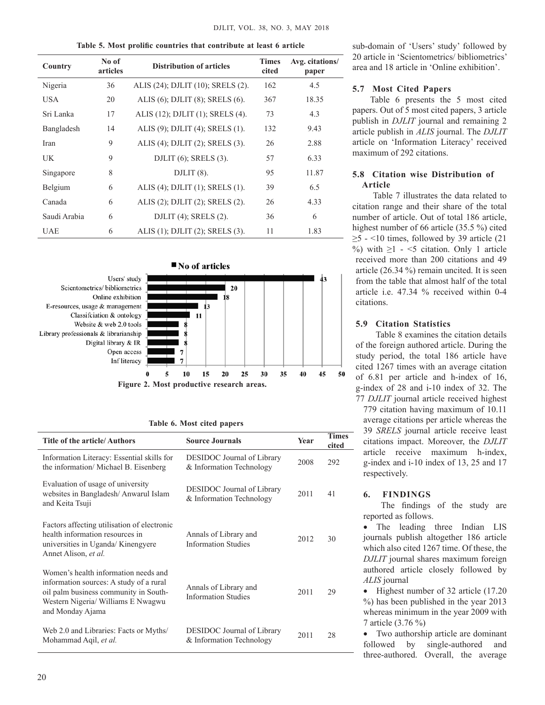|  |  | Table 5. Most prolific countries that contribute at least 6 article |  |  |
|--|--|---------------------------------------------------------------------|--|--|
|  |  |                                                                     |  |  |

| No of<br>Country<br>articles |    | <b>Distribution of articles</b>          | <b>Times</b><br>cited | Avg. citations/<br>paper |
|------------------------------|----|------------------------------------------|-----------------------|--------------------------|
| Nigeria                      | 36 | ALIS (24); DJLIT (10); SRELS (2).        | 162                   | 4.5                      |
| <b>USA</b>                   | 20 | ALIS (6); DJLIT (8); SRELS (6).          | 367                   | 18.35                    |
| Sri Lanka                    | 17 | ALIS (12); DJLIT (1); SRELS (4).         | 73                    | 4.3                      |
| Bangladesh                   | 14 | ALIS (9); DJLIT (4); SRELS (1).          | 132                   | 9.43                     |
| Iran                         | 9  | ALIS (4); DJLIT (2); SRELS (3).          | 26                    | 2.88                     |
| UK                           | 9  | DJLIT $(6)$ ; SRELS $(3)$ .              | 57                    | 6.33                     |
| Singapore                    | 8  | DJLIT (8).                               | 95                    | 11.87                    |
| Belgium                      | 6  | ALIS (4); DJLIT $(1)$ ; SRELS $(1)$ .    | 39                    | 6.5                      |
| Canada                       | 6  | ALIS (2); DJLIT (2); SRELS (2).          | 26                    | 4.33                     |
| Saudi Arabia                 | 6  | DJLIT $(4)$ ; SRELS $(2)$ .              | 36                    | 6                        |
| <b>UAE</b>                   | 6  | ALIS $(1)$ ; DJLIT $(2)$ ; SRELS $(3)$ . | 11                    | 1.83                     |



|  |  | Table 6. Most cited papers |
|--|--|----------------------------|

| <b>Title of the article/Authors</b>                                                                                                                                                | <b>Source Journals</b>                                 | <b>Year</b> | <b>Times</b><br>cited |
|------------------------------------------------------------------------------------------------------------------------------------------------------------------------------------|--------------------------------------------------------|-------------|-----------------------|
| Information Literacy: Essential skills for<br>the information/ Michael B. Eisenberg                                                                                                | DESIDOC Journal of Library<br>& Information Technology | 2008        | 292                   |
| Evaluation of usage of university<br>websites in Bangladesh/Anwarul Islam<br>and Keita Tsuji                                                                                       | DESIDOC Journal of Library<br>& Information Technology | 2011        | 41                    |
| Factors affecting utilisation of electronic<br>health information resources in<br>universities in Uganda/Kinengyere<br>Annet Alison, et al.                                        | Annals of Library and<br><b>Information Studies</b>    | 2012        | 30                    |
| Women's health information needs and<br>information sources: A study of a rural<br>oil palm business community in South-<br>Western Nigeria/ Williams E Nwagwu<br>and Monday Ajama | Annals of Library and<br><b>Information Studies</b>    | 2011        | 29                    |
| Web 2.0 and Libraries: Facts or Myths/<br>Mohammad Aqil, et al.                                                                                                                    | DESIDOC Journal of Library<br>& Information Technology | 2011        | 28                    |

sub-domain of 'Users' study' followed by 20 article in 'Scientometrics/ bibliometrics' area and 18 article in 'Online exhibition'.

# **5.7 Most Cited Papers**

Table 6 presents the 5 most cited papers. Out of 5 most cited papers, 3 article publish in *DJLIT* journal and remaining 2 article publish in *ALIS* journal. The *DJLIT* article on 'Information Literacy' received maximum of 292 citations.

# **5.8 Citation wise Distribution of Article**

 Table 7 illustrates the data related to citation range and their share of the total number of article. Out of total 186 article, highest number of 66 article (35.5 %) cited  $\geq$ 5 - <10 times, followed by 39 article (21) %) with  $\geq 1$  - <5 citation. Only 1 article received more than 200 citations and 49 article (26.34 %) remain uncited. It is seen from the table that almost half of the total article i.e. 47.34 % received within 0-4 citations.

# **5.9 Citation Statistics**

 Table 8 examines the citation details of the foreign authored article. During the study period, the total 186 article have cited 1267 times with an average citation of 6.81 per article and h-index of 16, g-index of 28 and i-10 index of 32. The 77 *DJLIT* journal article received highest

779 citation having maximum of 10.11 average citations per article whereas the 39 *SRELS* journal article receive least citations impact. Moreover, the *DJLIT* article receive maximum h-index, g-index and i-10 index of 13, 25 and 17 respectively.

# **6. Findings**

The findings of the study are reported as follows.

• The leading three Indian LIS journals publish altogether 186 article which also cited 1267 time. Of these, the *DJLIT* journal shares maximum foreign authored article closely followed by *ALIS* journal

• Highest number of 32 article (17.20 %) has been published in the year 2013 whereas minimum in the year 2009 with 7 article (3.76 %)

• Two authorship article are dominant followed by single-authored and three-authored. Overall, the average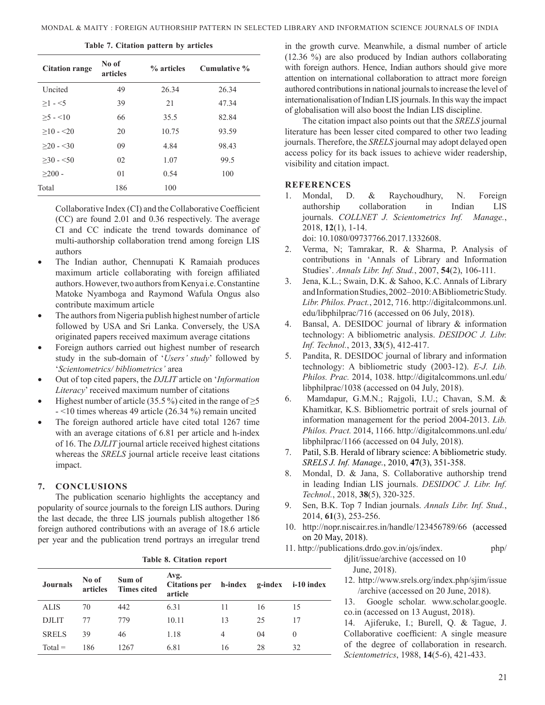|  | Table 7. Citation pattern by articles |  |  |
|--|---------------------------------------|--|--|
|  |                                       |  |  |

| <b>Citation range</b> | No of<br>articles | % articles | Cumulative % |
|-----------------------|-------------------|------------|--------------|
| Uncited               | 49                | 26.34      | 26.34        |
| $>1 - 5$              | 39                | 21         | 47.34        |
| $>5 - 10$             | 66                | 35.5       | 82.84        |
| $>10 - 20$            | 20                | 10.75      | 93.59        |
| $>20 - 30$            | 09                | 4.84       | 98.43        |
| $>30 - 50$            | 02                | 1.07       | 99.5         |
| $>200$ -              | 01                | 0.54       | 100          |
| Total                 | 186               | 100        |              |

Collaborative Index (CI) and the Collaborative Coefficient (CC) are found 2.01 and 0.36 respectively. The average CI and CC indicate the trend towards dominance of multi-authorship collaboration trend among foreign LIS authors

- The Indian author, Chennupati K Ramaiah produces maximum article collaborating with foreign affiliated authors. However, two authors from Kenya i.e. Constantine Matoke Nyamboga and Raymond Wafula Ongus also contribute maximum article
- The authors from Nigeria publish highest number of article followed by USA and Sri Lanka. Conversely, the USA originated papers received maximum average citations
- Foreign authors carried out highest number of research study in the sub-domain of '*Users' study*' followed by '*Scientometrics/ bibliometrics'* area
- Out of top cited papers, the *DJLIT* article on '*Information Literacy*' received maximum number of citations
- Highest number of article (35.5 %) cited in the range of  $\geq$ 5 - <10 times whereas 49 article (26.34 %) remain uncited
- The foreign authored article have cited total 1267 time with an average citations of 6.81 per article and h-index of 16. The *DJLIT* journal article received highest citations whereas the *SRELS* journal article receive least citations impact.

### **7. Conclusions**

The publication scenario highlights the acceptancy and popularity of source journals to the foreign LIS authors. During the last decade, the three LIS journals publish altogether 186 foreign authored contributions with an average of 18.6 article per year and the publication trend portrays an irregular trend

|  | <b>Journals</b> | No of<br>articles | Sum of<br><b>Times cited</b> | Avg.<br>Citations per h-index g-index i-10 index<br>article |    |    |          |
|--|-----------------|-------------------|------------------------------|-------------------------------------------------------------|----|----|----------|
|  | <b>ALIS</b>     | 70                | 442                          | 6.31                                                        | 11 | 16 | 15       |
|  | <b>DJLIT</b>    | 77                | 779                          | 10.11                                                       | 13 | 25 | 17       |
|  | <b>SRELS</b>    | 39                | 46                           | 1.18                                                        | 4  | 04 | $\theta$ |
|  | $Total =$       | 186               | 1267                         | 6.81                                                        | 16 | 28 | 32       |
|  |                 |                   |                              |                                                             |    |    |          |

**Table 8. Citation report**

in the growth curve. Meanwhile, a dismal number of article (12.36 %) are also produced by Indian authors collaborating with foreign authors. Hence, Indian authors should give more attention on international collaboration to attract more foreign authored contributions in national journals to increase the level of internationalisation of Indian LIS journals. In this way the impact of globalisation will also boost the Indian LIS discipline.

The citation impact also points out that the *SRELS* journal literature has been lesser cited compared to other two leading journals. Therefore, the *SRELS* journal may adopt delayed open access policy for its back issues to achieve wider readership, visibility and citation impact.

### **References**

1. Mondal, D. & Raychoudhury, N. Foreign authorship collaboration in Indian LIS journals. *COLLNET J. Scientometrics Inf. Manage.*, 2018, **12**(1), 1-14.

doi: 10.1080/09737766.2017.1332608.

- 2. Verma, N; Tamrakar, R. & Sharma, P. Analysis of contributions in 'Annals of Library and Information Studies'. *Annals Libr. Inf. Stud.*, 2007, **54**(2), 106-111.
- 3. Jena, K.L.; Swain, D.K. & Sahoo, K.C. Annals of Library and Information Studies, 2002–2010: A Bibliometric Study. *Libr. Philos. Pract.*, 2012, 716. http://digitalcommons.unl. edu/libphilprac/716 (accessed on 06 July, 2018).
- 4. Bansal, A. DESIDOC journal of library & information technology: A bibliometric analysis. *DESIDOC J. Libr. Inf. Technol.*, 2013, **33**(5), 412-417.
- 5. Pandita, R. DESIDOC journal of library and information technology: A bibliometric study (2003-12). *E-J. Lib. Philos. Prac.* 2014, 1038. http://digitalcommons.unl.edu/ libphilprac/1038 (accessed on 04 July, 2018).
- 6. Mamdapur, G.M.N.; Rajgoli, I.U.; Chavan, S.M. & Khamitkar, K.S. Bibliometric portrait of srels journal of information management for the period 2004-2013. *Lib. Philos. Pract.* 2014, 1166. http://digitalcommons.unl.edu/ libphilprac/1166 (accessed on 04 July, 2018).
- 7. Patil, S.B. Herald of library science: A bibliometric study. *SRELS J. Inf. Manage.*, 2010, **47**(3), 351-358.
- 8. Mondal, D. & Jana, S. Collaborative authorship trend in leading Indian LIS journals. *DESIDOC J. Libr. Inf. Technol.*, 2018, **38**(5), 320-325.
- 9. Sen, B.K. Top 7 Indian journals. *Annals Libr. Inf. Stud.*, 2014, **61**(3), 253-256.
- 10. http://nopr.niscair.res.in/handle/123456789/66 (accessed on 20 May, 2018).



12. http://www.srels.org/index.php/sjim/issue /archive (accessed on 20 June, 2018).

13. Google scholar. www.scholar.google. co.in (accessed on 13 August, 2018).

14. Ajiferuke, I.; Burell, Q. & Tague, J. Collaborative coefficient: A single measure of the degree of collaboration in research. *Scientometrics*, 1988, **14**(5-6), 421-433.